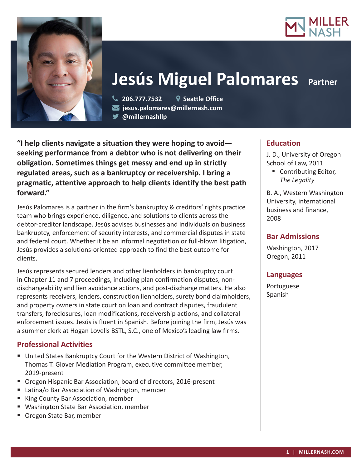



# **Jesús Miguel Palomares Partner**

 **206.777.7532 Seattle Office jesus.palomares@millernash.com @millernashllp** 

**"I help clients navigate a situation they were hoping to avoid seeking performance from a debtor who is not delivering on their obligation. Sometimes things get messy and end up in strictly regulated areas, such as a bankruptcy or receivership. I bring a pragmatic, attentive approach to help clients identify the best path forward."**

Jesús Palomares is a partner in the firm's bankruptcy & creditors' rights practice team who brings experience, diligence, and solutions to clients across the debtor-creditor landscape. Jesús advises businesses and individuals on business bankruptcy, enforcement of security interests, and commercial disputes in state and federal court. Whether it be an informal negotiation or full-blown litigation, Jesús provides a solutions-oriented approach to find the best outcome for clients.

Jesús represents secured lenders and other lienholders in bankruptcy court in Chapter 11 and 7 proceedings, including plan confirmation disputes, nondischargeability and lien avoidance actions, and post-discharge matters. He also represents receivers, lenders, construction lienholders, surety bond claimholders, and property owners in state court on loan and contract disputes, fraudulent transfers, foreclosures, loan modifications, receivership actions, and collateral enforcement issues. Jesús is fluent in Spanish. Before joining the firm, Jesús was a summer clerk at Hogan Lovells BSTL, S.C., one of Mexico's leading law firms.

## **Professional Activities**

- United States Bankruptcy Court for the Western District of Washington, Thomas T. Glover Mediation Program, executive committee member, 2019-present
- Oregon Hispanic Bar Association, board of directors, 2016-present
- Latina/o Bar Association of Washington, member
- King County Bar Association, member
- Washington State Bar Association, member
- **Oregon State Bar, member**

# **Education**

J. D., University of Oregon School of Law, 2011

■ Contributing Editor, *The Legality*

B. A., Western Washington University, international business and finance, 2008

## **Bar Admissions**

Washington, 2017 Oregon, 2011

## **Languages**

Portuguese Spanish